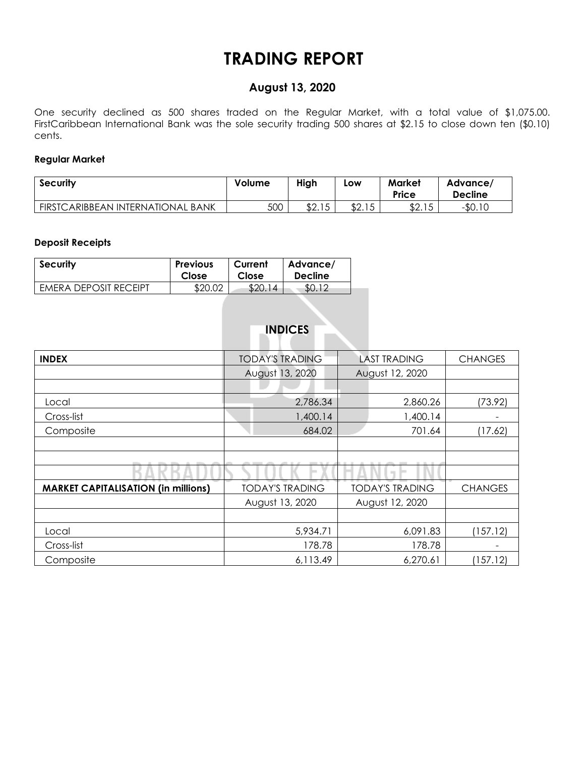## **TRADING REPORT**

### **August 13, 2020**

One security declined as 500 shares traded on the Regular Market, with a total value of \$1,075.00. FirstCaribbean International Bank was the sole security trading 500 shares at \$2.15 to close down ten (\$0.10) cents.

#### **Regular Market**

| <b>Security</b>                   | Volume | High              | LOW    | <b>Market</b><br>Price | Advance/<br><b>Decline</b> |  |
|-----------------------------------|--------|-------------------|--------|------------------------|----------------------------|--|
| FIRSTCARIBBEAN INTERNATIONAL BANK | 500    | 4015<br>ن ۱. ۷ تا | \$2.15 | \$2.15                 | $-$0.10$                   |  |

#### **Deposit Receipts**

| <b>Security</b>              | <b>Previous</b> | Current | Advance/       |
|------------------------------|-----------------|---------|----------------|
|                              | Close           | Close   | <b>Decline</b> |
| <b>EMERA DEPOSIT RECEIPT</b> | \$20.02         | \$20.   | SO.            |

|  | <b>INDICES</b> |  |  |
|--|----------------|--|--|
|  |                |  |  |

| <b>INDEX</b>                               | <b>TODAY'S TRADING</b> | <b>LAST TRADING</b>    | <b>CHANGES</b> |
|--------------------------------------------|------------------------|------------------------|----------------|
|                                            | August 13, 2020        | August 12, 2020        |                |
|                                            |                        |                        |                |
| Local                                      | 2,786.34               | 2,860.26               | (73.92)        |
| Cross-list                                 | 1,400.14               | 1,400.14               |                |
| Composite                                  | 684.02                 | 701.64                 | (17.62)        |
|                                            |                        |                        |                |
|                                            |                        |                        |                |
|                                            |                        |                        |                |
| <b>MARKET CAPITALISATION (in millions)</b> | <b>TODAY'S TRADING</b> | <b>TODAY'S TRADING</b> | <b>CHANGES</b> |
|                                            | August 13, 2020        | August 12, 2020        |                |
|                                            |                        |                        |                |
| Local                                      | 5,934.71               | 6,091.83               | (157.12)       |
| Cross-list                                 | 178.78                 | 178.78                 | -              |
| Composite                                  | 6,113.49               | 6,270.61               | (157.12)       |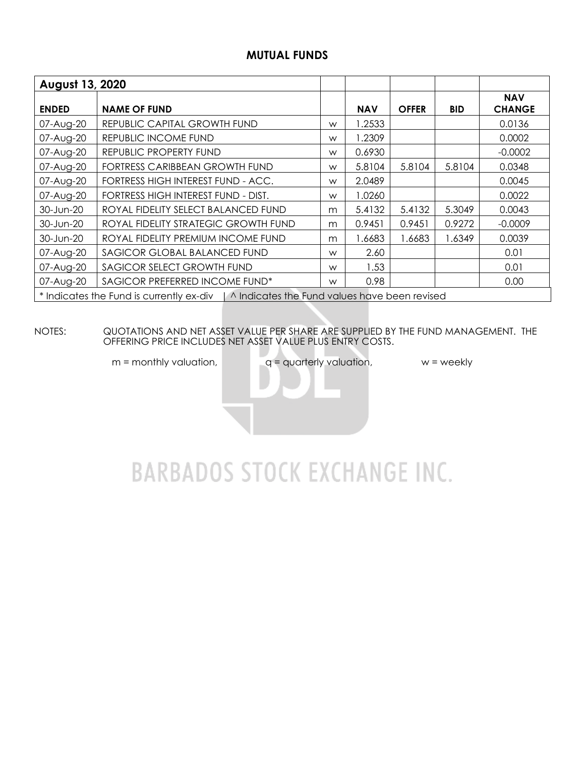### **MUTUAL FUNDS**

| August 13, 2020 |                                                                                          |   |            |              |            |                             |  |  |  |  |  |
|-----------------|------------------------------------------------------------------------------------------|---|------------|--------------|------------|-----------------------------|--|--|--|--|--|
| <b>ENDED</b>    | <b>NAME OF FUND</b>                                                                      |   | <b>NAV</b> | <b>OFFER</b> | <b>BID</b> | <b>NAV</b><br><b>CHANGE</b> |  |  |  |  |  |
| 07-Aug-20       | REPUBLIC CAPITAL GROWTH FUND                                                             | W | 1.2533     |              |            | 0.0136                      |  |  |  |  |  |
| 07-Aug-20       | REPUBLIC INCOME FUND                                                                     | W | 1.2309     |              |            | 0.0002                      |  |  |  |  |  |
| 07-Aug-20       | REPUBLIC PROPERTY FUND                                                                   | W | 0.6930     |              |            | $-0.0002$                   |  |  |  |  |  |
| 07-Aug-20       | FORTRESS CARIBBEAN GROWTH FUND                                                           | W | 5.8104     | 5.8104       | 5.8104     | 0.0348                      |  |  |  |  |  |
| 07-Aug-20       | FORTRESS HIGH INTEREST FUND - ACC.                                                       | W | 2.0489     |              |            | 0.0045                      |  |  |  |  |  |
| 07-Aug-20       | FORTRESS HIGH INTEREST FUND - DIST.                                                      | W | 1.0260     |              |            | 0.0022                      |  |  |  |  |  |
| 30-Jun-20       | ROYAL FIDELITY SELECT BALANCED FUND                                                      | m | 5.4132     | 5.4132       | 5.3049     | 0.0043                      |  |  |  |  |  |
| 30-Jun-20       | ROYAL FIDELITY STRATEGIC GROWTH FUND                                                     | m | 0.9451     | 0.9451       | 0.9272     | $-0.0009$                   |  |  |  |  |  |
| 30-Jun-20       | ROYAL FIDELITY PREMIUM INCOME FUND                                                       | m | 1.6683     | 1.6683       | 1.6349     | 0.0039                      |  |  |  |  |  |
| 07-Aug-20       | SAGICOR GLOBAL BALANCED FUND                                                             | W | 2.60       |              |            | 0.01                        |  |  |  |  |  |
| 07-Aug-20       | SAGICOR SELECT GROWTH FUND                                                               | W | 1.53       |              |            | 0.01                        |  |  |  |  |  |
| 07-Aug-20       | SAGICOR PREFERRED INCOME FUND*                                                           | W | 0.98       |              |            | 0.00                        |  |  |  |  |  |
|                 | * Indicates the Fund is currently ex-div   ^ Indicates the Fund values have been revised |   |            |              |            |                             |  |  |  |  |  |

NOTES: QUOTATIONS AND NET ASSET VALUE PER SHARE ARE SUPPLIED BY THE FUND MANAGEMENT. THE OFFERING PRICE INCLUDES NET ASSET VALUE PLUS ENTRY COSTS.

 $m =$  monthly valuation,  $q =$  quarterly valuation,  $w =$  weekly

# **BARBADOS STOCK EXCHANGE INC.**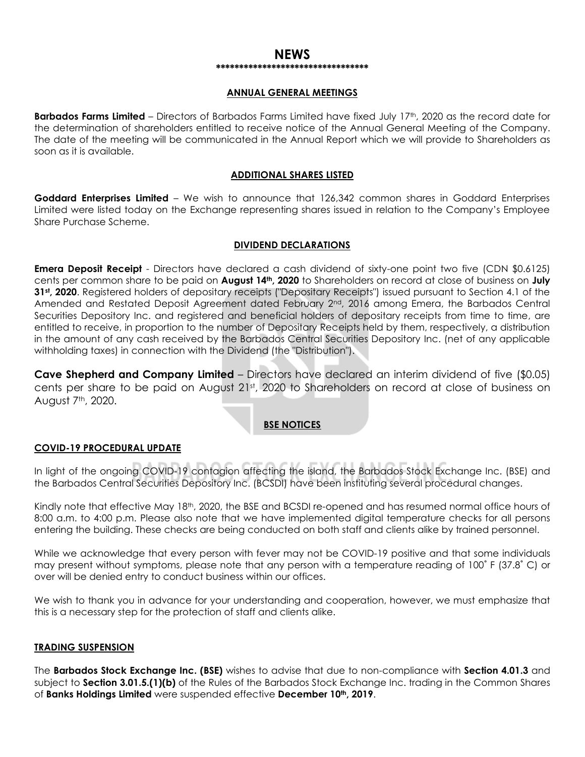#### **NEWS \*\*\*\*\*\*\*\*\*\*\*\*\*\*\*\*\*\*\*\*\*\*\*\*\*\*\*\*\*\*\*\*\***

#### **ANNUAL GENERAL MEETINGS**

**Barbados Farms Limited** – Directors of Barbados Farms Limited have fixed July 17th, 2020 as the record date for the determination of shareholders entitled to receive notice of the Annual General Meeting of the Company. The date of the meeting will be communicated in the Annual Report which we will provide to Shareholders as soon as it is available.

#### **ADDITIONAL SHARES LISTED**

**Goddard Enterprises Limited** – We wish to announce that 126,342 common shares in Goddard Enterprises Limited were listed today on the Exchange representing shares issued in relation to the Company's Employee Share Purchase Scheme.

#### **DIVIDEND DECLARATIONS**

**Emera Deposit Receipt** - Directors have declared a cash dividend of sixty-one point two five (CDN \$0.6125) cents per common share to be paid on **August 14th, 2020** to Shareholders on record at close of business on **July 31st, 2020**. Registered holders of depositary receipts ("Depositary Receipts") issued pursuant to Section 4.1 of the Amended and Restated Deposit Agreement dated February 2<sup>nd</sup>, 2016 among Emera, the Barbados Central Securities Depository Inc. and registered and beneficial holders of depositary receipts from time to time, are entitled to receive, in proportion to the number of Depositary Receipts held by them, respectively, a distribution in the amount of any cash received by the Barbados Central Securities Depository Inc. (net of any applicable withholding taxes) in connection with the Dividend (the "Distribution").

**Cave Shepherd and Company Limited** – Directors have declared an interim dividend of five (\$0.05) cents per share to be paid on August 21st, 2020 to Shareholders on record at close of business on August 7th, 2020.

#### **BSE NOTICES**

#### **COVID-19 PROCEDURAL UPDATE**

In light of the ongoing COVID-19 contagion affecting the island, the Barbados Stock Exchange Inc. (BSE) and the Barbados Central Securities Depository Inc. (BCSDI) have been instituting several procedural changes.

Kindly note that effective May 18th, 2020, the BSE and BCSDI re-opened and has resumed normal office hours of 8:00 a.m. to 4:00 p.m. Please also note that we have implemented digital temperature checks for all persons entering the building. These checks are being conducted on both staff and clients alike by trained personnel.

While we acknowledge that every person with fever may not be COVID-19 positive and that some individuals may present without symptoms, please note that any person with a temperature reading of 100˚ F (37.8˚ C) or over will be denied entry to conduct business within our offices.

We wish to thank you in advance for your understanding and cooperation, however, we must emphasize that this is a necessary step for the protection of staff and clients alike.

#### **TRADING SUSPENSION**

The **Barbados Stock Exchange Inc. (BSE)** wishes to advise that due to non-compliance with **Section 4.01.3** and subject to **Section 3.01.5.(1)(b)** of the Rules of the Barbados Stock Exchange Inc. trading in the Common Shares of **Banks Holdings Limited** were suspended effective **December 10th, 2019**.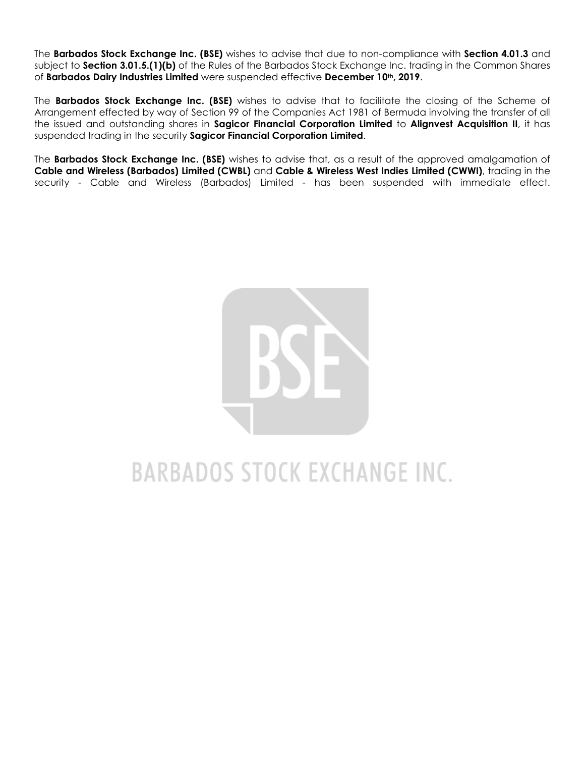The **Barbados Stock Exchange Inc. (BSE)** wishes to advise that due to non-compliance with **Section 4.01.3** and subject to **Section 3.01.5.(1)(b)** of the Rules of the Barbados Stock Exchange Inc. trading in the Common Shares of **Barbados Dairy Industries Limited** were suspended effective **December 10th, 2019**.

The **Barbados Stock Exchange Inc. (BSE)** wishes to advise that to facilitate the closing of the Scheme of Arrangement effected by way of Section 99 of the Companies Act 1981 of Bermuda involving the transfer of all the issued and outstanding shares in **Sagicor Financial Corporation Limited** to **Alignvest Acquisition II**, it has suspended trading in the security **Sagicor Financial Corporation Limited**.

The **Barbados Stock Exchange Inc. (BSE)** wishes to advise that, as a result of the approved amalgamation of **Cable and Wireless (Barbados) Limited (CWBL)** and **Cable & Wireless West Indies Limited (CWWI)**, trading in the security - Cable and Wireless (Barbados) Limited - has been suspended with immediate effect.



# **BARBADOS STOCK EXCHANGE INC.**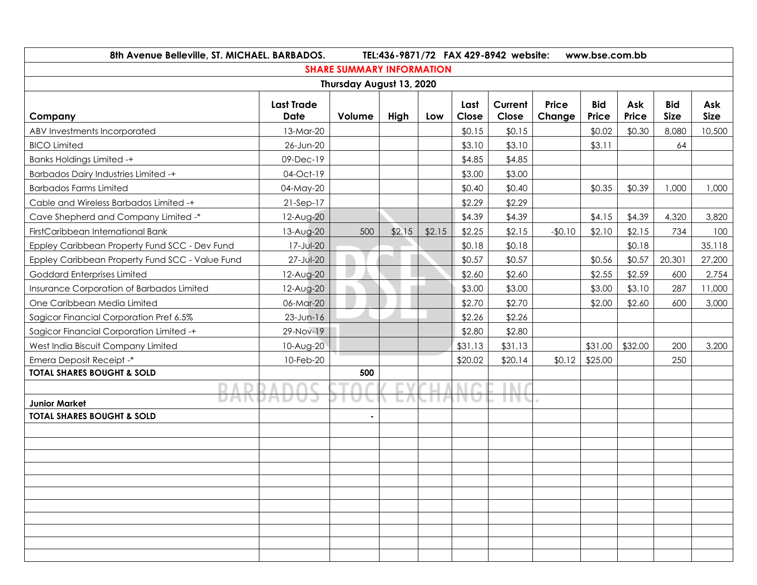| 8th Avenue Belleville, ST. MICHAEL. BARBADOS.<br>TEL:436-9871/72 FAX 429-8942 website:<br>www.bse.com.bb |                   |                                  |        |        |         |         |          |            |         |             |             |
|----------------------------------------------------------------------------------------------------------|-------------------|----------------------------------|--------|--------|---------|---------|----------|------------|---------|-------------|-------------|
|                                                                                                          |                   | <b>SHARE SUMMARY INFORMATION</b> |        |        |         |         |          |            |         |             |             |
|                                                                                                          |                   | Thursday August 13, 2020         |        |        |         |         |          |            |         |             |             |
|                                                                                                          | <b>Last Trade</b> |                                  |        |        | Last    | Current | Price    | <b>Bid</b> | Ask     | <b>Bid</b>  | Ask         |
| Company                                                                                                  | Date              | Volume                           | High   | Low    | Close   | Close   | Change   | Price      | Price   | <b>Size</b> | <b>Size</b> |
| ABV Investments Incorporated                                                                             | 13-Mar-20         |                                  |        |        | \$0.15  | \$0.15  |          | \$0.02     | \$0.30  | 8,080       | 10,500      |
| <b>BICO Limited</b>                                                                                      | 26-Jun-20         |                                  |        |        | \$3.10  | \$3.10  |          | \$3.11     |         | 64          |             |
| <b>Banks Holdings Limited -+</b>                                                                         | 09-Dec-19         |                                  |        |        | \$4.85  | \$4.85  |          |            |         |             |             |
| <b>Barbados Dairy Industries Limited -+</b>                                                              | 04-Oct-19         |                                  |        |        | \$3.00  | \$3.00  |          |            |         |             |             |
| <b>Barbados Farms Limited</b>                                                                            | 04-May-20         |                                  |        |        | \$0.40  | \$0.40  |          | \$0.35     | \$0.39  | 1,000       | 1,000       |
| Cable and Wireless Barbados Limited -+                                                                   | $21-Sep-17$       |                                  |        |        | \$2.29  | \$2.29  |          |            |         |             |             |
| Cave Shepherd and Company Limited -*                                                                     | 12-Aug-20         |                                  |        |        | \$4.39  | \$4.39  |          | \$4.15     | \$4.39  | 4,320       | 3,820       |
| FirstCaribbean International Bank                                                                        | 13-Aug-20         | 500                              | \$2.15 | \$2.15 | \$2.25  | \$2.15  | $-$0.10$ | \$2.10     | \$2.15  | 734         | 100         |
| Eppley Caribbean Property Fund SCC - Dev Fund                                                            | 17-Jul-20         |                                  |        |        | \$0.18  | \$0.18  |          |            | \$0.18  |             | 35,118      |
| Eppley Caribbean Property Fund SCC - Value Fund                                                          | 27-Jul-20         |                                  |        |        | \$0.57  | \$0.57  |          | \$0.56     | \$0.57  | 20,301      | 27,200      |
| Goddard Enterprises Limited                                                                              | 12-Aug-20         |                                  |        |        | \$2.60  | \$2.60  |          | \$2.55     | \$2.59  | 600         | 2,754       |
| Insurance Corporation of Barbados Limited                                                                | 12-Aug-20         |                                  |        |        | \$3.00  | \$3.00  |          | \$3.00     | \$3.10  | 287         | 11,000      |
| One Caribbean Media Limited                                                                              | 06-Mar-20         |                                  |        |        | \$2.70  | \$2.70  |          | \$2.00     | \$2.60  | 600         | 3,000       |
| Sagicor Financial Corporation Pref 6.5%                                                                  | 23-Jun-16         |                                  |        |        | \$2.26  | \$2.26  |          |            |         |             |             |
| Sagicor Financial Corporation Limited -+                                                                 | 29-Nov-19         |                                  |        |        | \$2.80  | \$2.80  |          |            |         |             |             |
| West India Biscuit Company Limited                                                                       | 10-Aug-20         |                                  |        |        | \$31.13 | \$31.13 |          | \$31.00    | \$32.00 | 200         | 3,200       |
| Emera Deposit Receipt -*                                                                                 | 10-Feb-20         |                                  |        |        | \$20.02 | \$20.14 | \$0.12   | \$25.00    |         | 250         |             |
| <b>TOTAL SHARES BOUGHT &amp; SOLD</b>                                                                    |                   | 500                              |        |        |         |         |          |            |         |             |             |
|                                                                                                          |                   |                                  |        |        |         |         |          |            |         |             |             |
| <b>Junior Market</b>                                                                                     |                   |                                  |        |        |         |         |          |            |         |             |             |
| <b>TOTAL SHARES BOUGHT &amp; SOLD</b>                                                                    |                   |                                  |        |        |         |         |          |            |         |             |             |
|                                                                                                          |                   |                                  |        |        |         |         |          |            |         |             |             |
|                                                                                                          |                   |                                  |        |        |         |         |          |            |         |             |             |
|                                                                                                          |                   |                                  |        |        |         |         |          |            |         |             |             |
|                                                                                                          |                   |                                  |        |        |         |         |          |            |         |             |             |
|                                                                                                          |                   |                                  |        |        |         |         |          |            |         |             |             |
|                                                                                                          |                   |                                  |        |        |         |         |          |            |         |             |             |
|                                                                                                          |                   |                                  |        |        |         |         |          |            |         |             |             |
|                                                                                                          |                   |                                  |        |        |         |         |          |            |         |             |             |
|                                                                                                          |                   |                                  |        |        |         |         |          |            |         |             |             |
|                                                                                                          |                   |                                  |        |        |         |         |          |            |         |             |             |